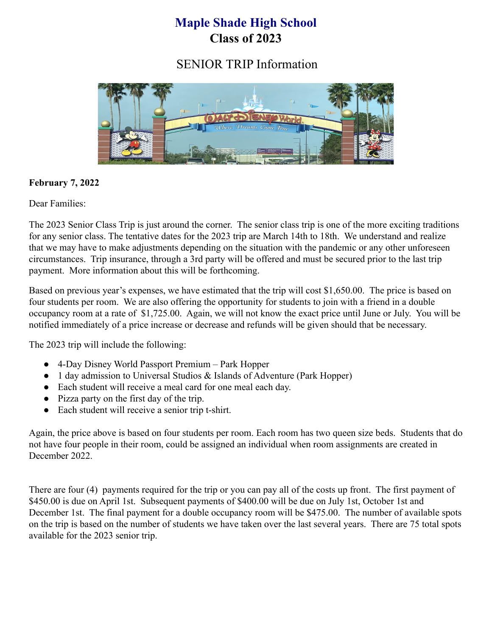# **Maple Shade High School Class of 2023**

SENIOR TRIP Information



# **February 7, 2022**

Dear Families:

The 2023 Senior Class Trip is just around the corner. The senior class trip is one of the more exciting traditions for any senior class. The tentative dates for the 2023 trip are March 14th to 18th. We understand and realize that we may have to make adjustments depending on the situation with the pandemic or any other unforeseen circumstances. Trip insurance, through a 3rd party will be offered and must be secured prior to the last trip payment. More information about this will be forthcoming.

Based on previous year's expenses, we have estimated that the trip will cost \$1,650.00. The price is based on four students per room. We are also offering the opportunity for students to join with a friend in a double occupancy room at a rate of \$1,725.00. Again, we will not know the exact price until June or July. You will be notified immediately of a price increase or decrease and refunds will be given should that be necessary.

The 2023 trip will include the following:

- 4-Day Disney World Passport Premium Park Hopper
- 1 day admission to Universal Studios & Islands of Adventure (Park Hopper)
- Each student will receive a meal card for one meal each day.
- Pizza party on the first day of the trip.
- Each student will receive a senior trip t-shirt.

Again, the price above is based on four students per room. Each room has two queen size beds. Students that do not have four people in their room, could be assigned an individual when room assignments are created in December 2022.

There are four (4) payments required for the trip or you can pay all of the costs up front. The first payment of \$450.00 is due on April 1st. Subsequent payments of \$400.00 will be due on July 1st, October 1st and December 1st. The final payment for a double occupancy room will be \$475.00. The number of available spots on the trip is based on the number of students we have taken over the last several years. There are 75 total spots available for the 2023 senior trip.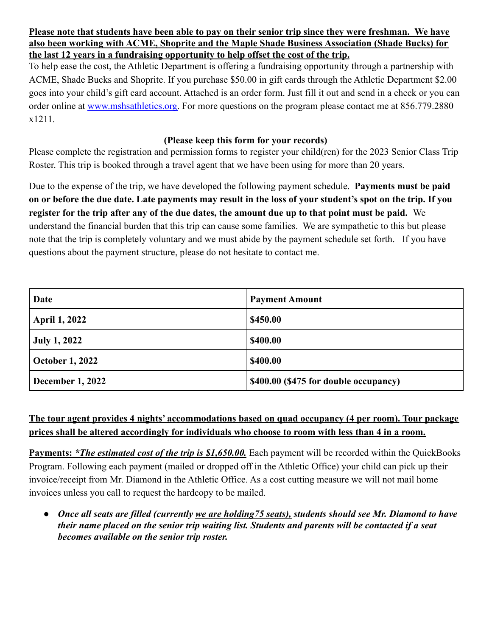**Please note that students have been able to pay on their senior trip since they were freshman. We have also been working with ACME, Shoprite and the Maple Shade Business Association (Shade Bucks) for the last 12 years in a fundraising opportunity to help offset the cost of the trip.**

To help ease the cost, the Athletic Department is offering a fundraising opportunity through a partnership with ACME, Shade Bucks and Shoprite. If you purchase \$50.00 in gift cards through the Athletic Department \$2.00 goes into your child's gift card account. Attached is an order form. Just fill it out and send in a check or you can order online at [www.mshsathletics.org.](http://www.mshsathletics.org) For more questions on the program please contact me at 856.779.2880 x1211.

#### **(Please keep this form for your records)**

Please complete the registration and permission forms to register your child(ren) for the 2023 Senior Class Trip Roster. This trip is booked through a travel agent that we have been using for more than 20 years.

Due to the expense of the trip, we have developed the following payment schedule. **Payments must be paid on or before the due date. Late payments may result in the loss of your student's spot on the trip. If you register for the trip after any of the due dates, the amount due up to that point must be paid.** We understand the financial burden that this trip can cause some families. We are sympathetic to this but please note that the trip is completely voluntary and we must abide by the payment schedule set forth. If you have questions about the payment structure, please do not hesitate to contact me.

| Date                    | <b>Payment Amount</b>                 |
|-------------------------|---------------------------------------|
| <b>April 1, 2022</b>    | \$450.00                              |
| <b>July 1, 2022</b>     | \$400.00                              |
| <b>October 1, 2022</b>  | \$400.00                              |
| <b>December 1, 2022</b> | \$400.00 (\$475 for double occupancy) |

# **The tour agent provides 4 nights' accommodations based on quad occupancy (4 per room). Tour package prices shall be altered accordingly for individuals who choose to room with less than 4 in a room.**

**Payments:** *\*The estimated cost of the trip is \$1,650.00.* Each payment will be recorded within the QuickBooks Program. Following each payment (mailed or dropped off in the Athletic Office) your child can pick up their invoice/receipt from Mr. Diamond in the Athletic Office. As a cost cutting measure we will not mail home invoices unless you call to request the hardcopy to be mailed.

● *Once all seats are filled (currently we are holding75 seats), students should see Mr. Diamond to have their name placed on the senior trip waiting list. Students and parents will be contacted if a seat becomes available on the senior trip roster.*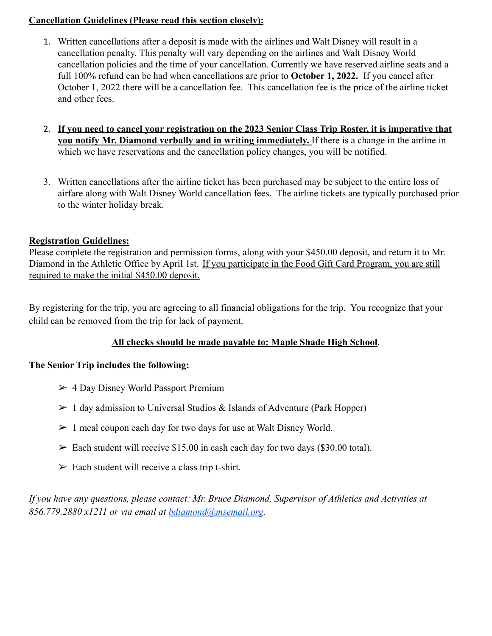#### **Cancellation Guidelines (Please read this section closely):**

- 1. Written cancellations after a deposit is made with the airlines and Walt Disney will result in a cancellation penalty. This penalty will vary depending on the airlines and Walt Disney World cancellation policies and the time of your cancellation. Currently we have reserved airline seats and a full 100% refund can be had when cancellations are prior to **October 1, 2022.** If you cancel after October 1, 2022 there will be a cancellation fee. This cancellation fee is the price of the airline ticket and other fees.
- 2. **If you need to cancel your registration on the 2023 Senior Class Trip Roster, it is imperative that you notify Mr. Diamond verbally and in writing immediately.** If there is a change in the airline in which we have reservations and the cancellation policy changes, you will be notified.
- 3. Written cancellations after the airline ticket has been purchased may be subject to the entire loss of airfare along with Walt Disney World cancellation fees. The airline tickets are typically purchased prior to the winter holiday break.

#### **Registration Guidelines:**

Please complete the registration and permission forms, along with your \$450.00 deposit, and return it to Mr. Diamond in the Athletic Office by April 1st. If you participate in the Food Gift Card Program, you are still required to make the initial \$450.00 deposit.

By registering for the trip, you are agreeing to all financial obligations for the trip. You recognize that your child can be removed from the trip for lack of payment.

## **All checks should be made payable to: Maple Shade High School**.

#### **The Senior Trip includes the following:**

- $>$  4 Day Disney World Passport Premium
- $> 1$  day admission to Universal Studios & Islands of Adventure (Park Hopper)
- $> 1$  meal coupon each day for two days for use at Walt Disney World.
- $\ge$  Each student will receive \$15.00 in cash each day for two days (\$30.00 total).
- $\triangleright$  Each student will receive a class trip t-shirt.

*If you have any questions, please contact: Mr. Bruce Diamond, Supervisor of Athletics and Activities at 856.779.2880 x1211 or via email at [bdiamond@msemail.org](mailto:bdiamond@msemail.org).*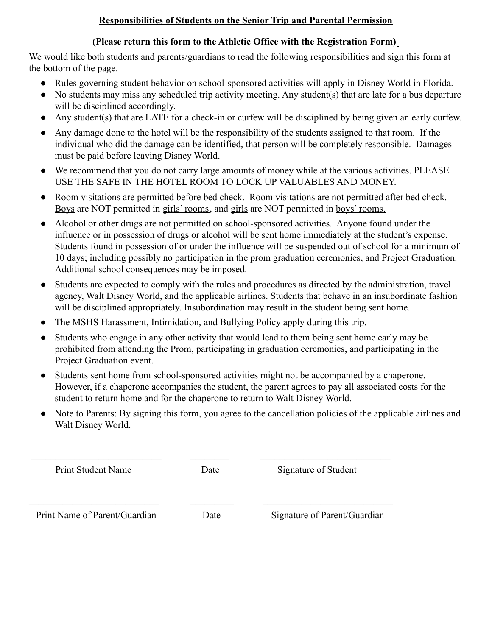## **Responsibilities of Students on the Senior Trip and Parental Permission**

### **(Please return this form to the Athletic Office with the Registration Form)**

We would like both students and parents/guardians to read the following responsibilities and sign this form at the bottom of the page.

- Rules governing student behavior on school-sponsored activities will apply in Disney World in Florida.
- No students may miss any scheduled trip activity meeting. Any student(s) that are late for a bus departure will be disciplined accordingly.
- Any student(s) that are LATE for a check-in or curfew will be disciplined by being given an early curfew.
- Any damage done to the hotel will be the responsibility of the students assigned to that room. If the individual who did the damage can be identified, that person will be completely responsible. Damages must be paid before leaving Disney World.
- We recommend that you do not carry large amounts of money while at the various activities. PLEASE USE THE SAFE IN THE HOTEL ROOM TO LOCK UP VALUABLES AND MONEY.
- Room visitations are permitted before bed check. Room visitations are not permitted after bed check. Boys are NOT permitted in girls' rooms, and girls are NOT permitted in boys' rooms.
- Alcohol or other drugs are not permitted on school-sponsored activities. Anyone found under the influence or in possession of drugs or alcohol will be sent home immediately at the student's expense. Students found in possession of or under the influence will be suspended out of school for a minimum of 10 days; including possibly no participation in the prom graduation ceremonies, and Project Graduation. Additional school consequences may be imposed.
- Students are expected to comply with the rules and procedures as directed by the administration, travel agency, Walt Disney World, and the applicable airlines. Students that behave in an insubordinate fashion will be disciplined appropriately. Insubordination may result in the student being sent home.
- The MSHS Harassment, Intimidation, and Bullying Policy apply during this trip.
- Students who engage in any other activity that would lead to them being sent home early may be prohibited from attending the Prom, participating in graduation ceremonies, and participating in the Project Graduation event.
- Students sent home from school-sponsored activities might not be accompanied by a chaperone. However, if a chaperone accompanies the student, the parent agrees to pay all associated costs for the student to return home and for the chaperone to return to Walt Disney World.
- Note to Parents: By signing this form, you agree to the cancellation policies of the applicable airlines and Walt Disney World.

 $\mathcal{L}_\text{max} = \frac{1}{2} \sum_{i=1}^n \mathcal{L}_\text{max}(\mathbf{z}_i - \mathbf{z}_i)$ 

Print Student Name Date Signature of Student

Print Name of Parent/Guardian Date Signature of Parent/Guardian

 $\mathcal{L}_\text{max} = \mathcal{L}_\text{max} = \mathcal{L}_\text{max} = \mathcal{L}_\text{max} = \mathcal{L}_\text{max} = \mathcal{L}_\text{max} = \mathcal{L}_\text{max} = \mathcal{L}_\text{max} = \mathcal{L}_\text{max} = \mathcal{L}_\text{max} = \mathcal{L}_\text{max} = \mathcal{L}_\text{max} = \mathcal{L}_\text{max} = \mathcal{L}_\text{max} = \mathcal{L}_\text{max} = \mathcal{L}_\text{max} = \mathcal{L}_\text{max} = \mathcal{L}_\text{max} = \mathcal{$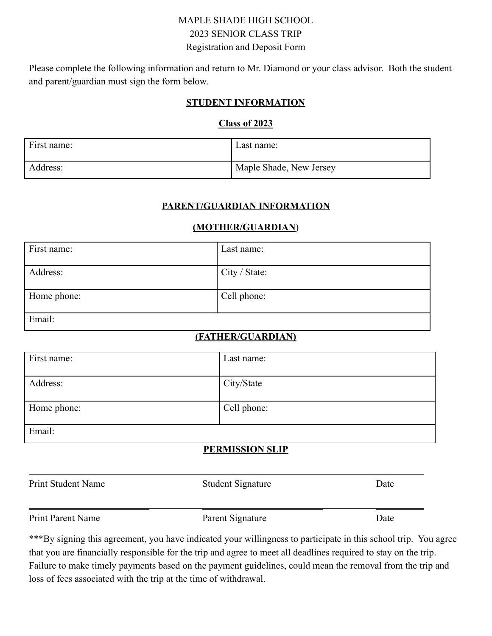# MAPLE SHADE HIGH SCHOOL 2023 SENIOR CLASS TRIP Registration and Deposit Form

Please complete the following information and return to Mr. Diamond or your class advisor. Both the student and parent/guardian must sign the form below.

#### **STUDENT INFORMATION**

#### **Class of 2023**

| First name: | Last name:              |
|-------------|-------------------------|
| Address:    | Maple Shade, New Jersey |

#### **PARENT/GUARDIAN INFORMATION**

#### **(MOTHER/GUARDIAN**)

| First name: | Last name:    |
|-------------|---------------|
| Address:    | City / State: |
| Home phone: | Cell phone:   |
| Email:      |               |

## **(FATHER/GUARDIAN)**

| First name: | Last name:  |
|-------------|-------------|
| Address:    | City/State  |
| Home phone: | Cell phone: |
| Email:      |             |

## **PERMISSION SLIP**

| Print Student Name | <b>Student Signature</b> | Date |
|--------------------|--------------------------|------|
| Print Parent Name  | Parent Signature         | Date |

\*\*\*By signing this agreement, you have indicated your willingness to participate in this school trip. You agree that you are financially responsible for the trip and agree to meet all deadlines required to stay on the trip. Failure to make timely payments based on the payment guidelines, could mean the removal from the trip and loss of fees associated with the trip at the time of withdrawal.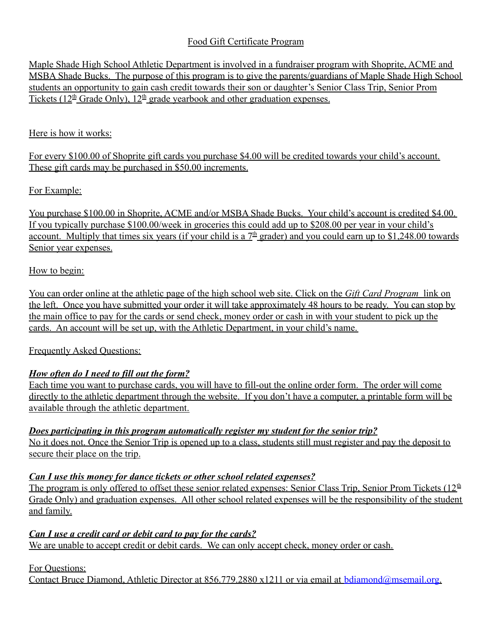# Food Gift Certificate Program

Maple Shade High School Athletic Department is involved in a fundraiser program with Shoprite, ACME and MSBA Shade Bucks. The purpose of this program is to give the parents/guardians of Maple Shade High School students an opportunity to gain cash credit towards their son or daughter's Senior Class Trip, Senior Prom Tickets ( $12<sup>th</sup>$  Grade Only),  $12<sup>th</sup>$  grade yearbook and other graduation expenses.

#### Here is how it works:

For every \$100.00 of Shoprite gift cards you purchase \$4.00 will be credited towards your child's account. These gift cards may be purchased in \$50.00 increments.

## For Example:

You purchase \$100.00 in Shoprite, ACME and/or MSBA Shade Bucks. Your child's account is credited \$4.00. If you typically purchase \$100.00/week in groceries this could add up to \$208.00 per year in your child's account. Multiply that times six years (if your child is a  $7<sup>th</sup>$  grader) and you could earn up to \$1,248.00 towards Senior year expenses.

## How to begin:

You can order online at the athletic page of the high school web site. Click on the *Gift Card Program* link on the left. Once you have submitted your order it will take approximately 48 hours to be ready. You can stop by the main office to pay for the cards or send check, money order or cash in with your student to pick up the cards. An account will be set up, with the Athletic Department, in your child's name.

## Frequently Asked Questions:

# *How often do I need to fill out the form?*

Each time you want to purchase cards, you will have to fill-out the online order form. The order will come directly to the athletic department through the website. If you don't have a computer, a printable form will be available through the athletic department.

## *Does participating in this program automatically register my student for the senior trip?*

No it does not. Once the Senior Trip is opened up to a class, students still must register and pay the deposit to secure their place on the trip.

## *Can I use this money for dance tickets or other school related expenses?*

The program is only offered to offset these senior related expenses: Senior Class Trip, Senior Prom Tickets  $(12<sup>th</sup>$ Grade Only) and graduation expenses. All other school related expenses will be the responsibility of the student and family.

## *Can I use a credit card or debit card to pay for the cards?*

We are unable to accept credit or debit cards. We can only accept check, money order or cash.

For Questions:

Contact Bruce Diamond, Athletic Director at 856.779.2880 x1211 or via email at [bdiamond@msemail.org.](mailto:bdiamond@mapleshade.org)